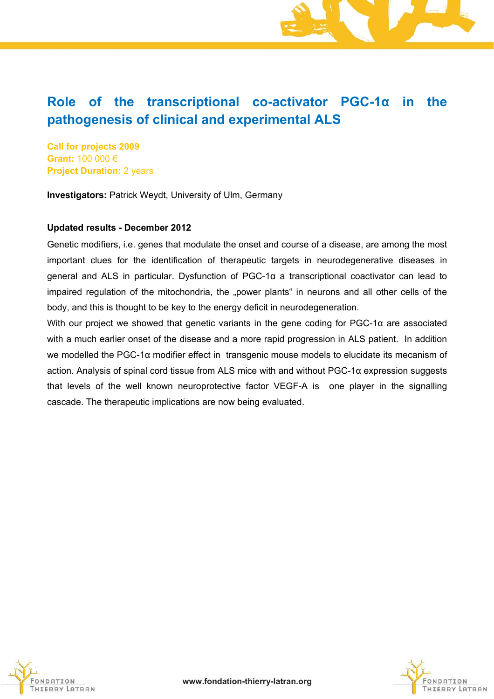# **Role of the transcriptional co-activator PGC-1α in the pathogenesis of clinical and experimental ALS**

**Call for projects 2009 Grant:** 100 000 € **Project Duration:** 2 years

**Investigators:** Patrick Weydt, University of Ulm, Germany

#### **Updated results - December 2012**

Genetic modifiers, i.e. genes that modulate the onset and course of a disease, are among the most important clues for the identification of therapeutic targets in neurodegenerative diseases in general and ALS in particular. Dysfunction of PGC-1α a transcriptional coactivator can lead to impaired regulation of the mitochondria, the "power plants" in neurons and all other cells of the body, and this is thought to be key to the energy deficit in neurodegeneration.

With our project we showed that genetic variants in the gene coding for PGC-1α are associated with a much earlier onset of the disease and a more rapid progression in ALS patient. In addition we modelled the PGC-1α modifier effect in transgenic mouse models to elucidate its mecanism of action. Analysis of spinal cord tissue from ALS mice with and without PGC-1α expression suggests that levels of the well known neuroprotective factor VEGF-A is one player in the signalling cascade. The therapeutic implications are now being evaluated.